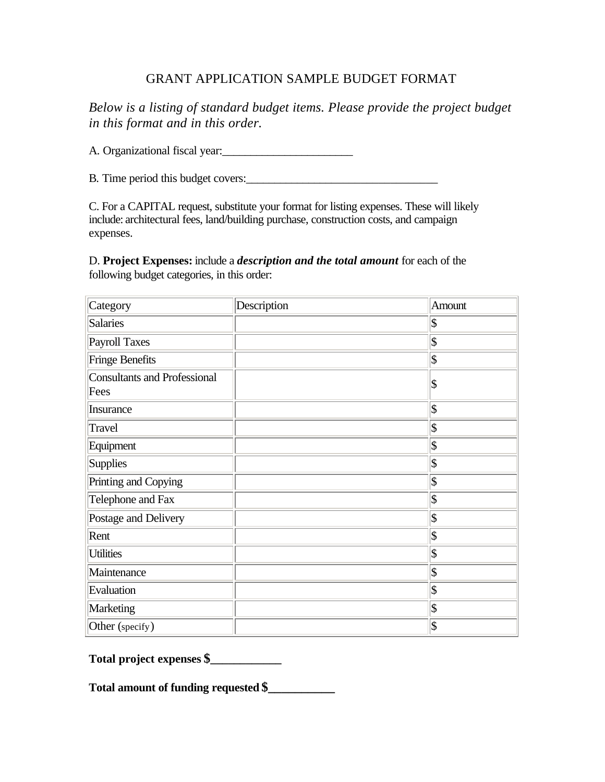## GRANT APPLICATION SAMPLE BUDGET FORMAT

*Below is a listing of standard budget items. Please provide the project budget in this format and in this order.* 

A. Organizational fiscal year:

B. Time period this budget covers:\_\_\_\_\_\_\_\_\_\_\_\_\_\_\_\_\_\_\_\_\_\_\_\_\_\_\_\_\_\_\_\_\_

C. For a CAPITAL request, substitute your format for listing expenses. These will likely include: architectural fees, land/building purchase, construction costs, and campaign expenses.

D. **Project Expenses:** include a *description and the total amount* for each of the following budget categories, in this order:

| Category                                    | Description | Amount                      |
|---------------------------------------------|-------------|-----------------------------|
| Salaries                                    |             | $ \boldsymbol{\mathsf{S}} $ |
| Payroll Taxes                               |             | $ \mathbf{\$}$              |
| Fringe Benefits                             |             | $ \mathfrak{F} $            |
| <b>Consultants and Professional</b><br>Fees |             | \$                          |
| Insurance                                   |             | $ \$\$                      |
| Travel                                      |             | $ \mathfrak{F} $            |
| Equipment                                   |             | $ \mathfrak{F} $            |
| <b>Supplies</b>                             |             | $ \mathcal{S} $             |
| Printing and Copying                        |             | $ \mathfrak{F} $            |
| Telephone and Fax                           |             | $ \mathfrak{F} $            |
| Postage and Delivery                        |             | $ \mathcal{S} $             |
| Rent                                        |             | $ \boldsymbol{\mathsf{S}} $ |
| <b>Utilities</b>                            |             | $ \mathfrak{F} $            |
| Maintenance                                 |             | $ \mathfrak{F} $            |
| Evaluation                                  |             | $ \mathcal{S} $             |
| Marketing                                   |             | $ \mathfrak{F} $            |
| Other (specify)                             |             | $ \boldsymbol{\mathsf{S}} $ |

**Total project expenses \$\_\_\_\_\_\_\_\_\_\_\_\_**

**Total amount of funding requested \$\_\_\_\_\_\_\_\_\_\_**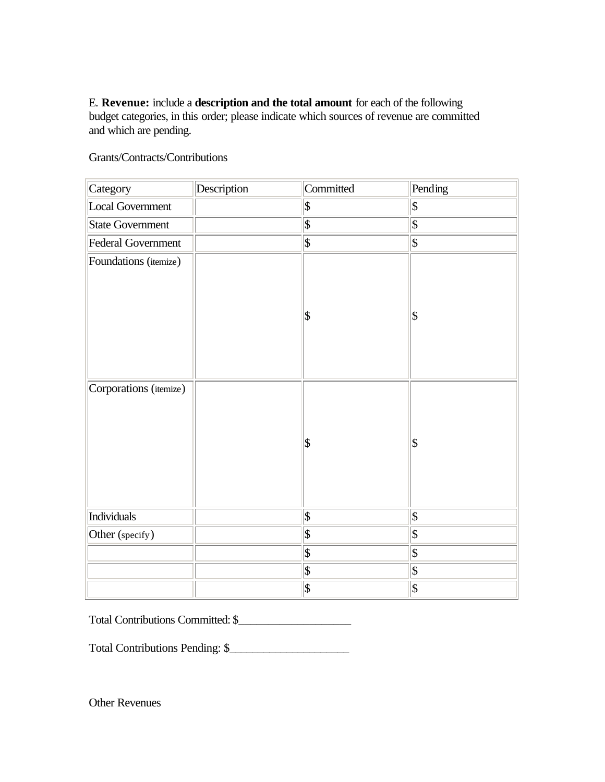E. **Revenue:** include a **description and the total amount** for each of the following budget categories, in this order; please indicate which sources of revenue are committed and which are pending.

| Category               | Description | Committed                  | Pending                    |
|------------------------|-------------|----------------------------|----------------------------|
| Local Government       |             | $ \$\$                     | $\overline{\$}$            |
| State Government       |             | $ \mathsf{\$}$             | $\overline{\$}$            |
| Federal Government     |             | $ \mathsf{\$}$             | $\overline{\$}$            |
| Foundations (itemize)  |             | \$                         | \$                         |
| Corporations (itemize) |             | $ \mathsf{\$}$             | $\boldsymbol{\mathsf{S}}$  |
| Individuals            |             | $\overline{\mathcal{S}}$   | $\vert$ \$                 |
| Other (specify)        |             | $\boldsymbol{\mathsf{\$}}$ | $\overline{\$}$            |
|                        |             | $ \mathbf{\$}$             | $\overline{\$}$            |
|                        |             | $ \mathbf{\$}$             | $\boldsymbol{\mathsf{\$}}$ |
|                        |             | $\overline{\mathbb{S}}$    | $\overline{\$}$            |

Grants/Contracts/Contributions

Total Contributions Committed: \$\_\_\_\_\_\_\_\_\_\_\_\_\_\_\_\_\_\_\_

Total Contributions Pending: \$\_\_\_\_\_\_\_\_\_\_\_\_\_\_\_\_\_\_\_\_\_

Other Revenues